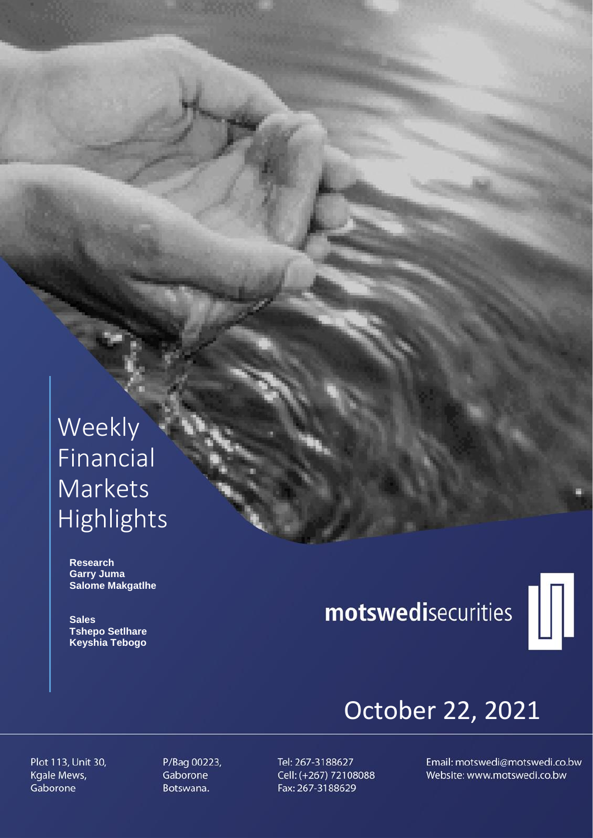## Weekly Financial **Markets** Highlights

 **Research Garry Juma Salome Makgatlhe**

 **Sales Tshepo Setlhare Keyshia Tebogo**

# motswedisecurities



## October 22, 2021

Plot 113, Unit 30, Kgale Mews, Gaborone

P/Bag 00223, Gaborone Botswana.

Tel: 267-3188627 Cell: (+267) 72108088 Fax: 267-3188629

Email: motswedi@motswedi.co.bw Website: www.motswedi.co.bw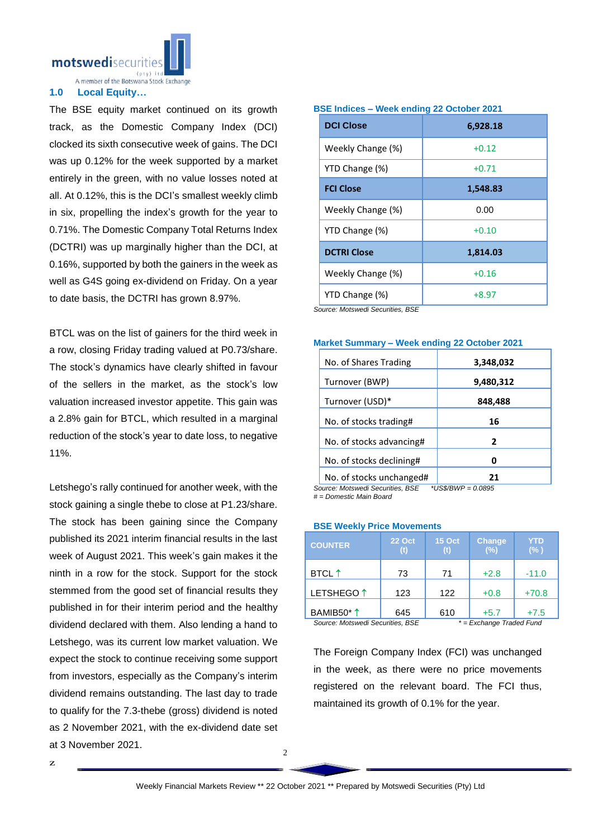motswedisecurit

A member of the Botswana Stock Exchange

#### **1.0 Local Equity…**

The BSE equity market continued on its growth track, as the Domestic Company Index (DCI) clocked its sixth consecutive week of gains. The DCI was up 0.12% for the week supported by a market entirely in the green, with no value losses noted at all. At 0.12%, this is the DCI's smallest weekly climb in six, propelling the index's growth for the year to 0.71%. The Domestic Company Total Returns Index (DCTRI) was up marginally higher than the DCI, at 0.16%, supported by both the gainers in the week as well as G4S going ex-dividend on Friday. On a year to date basis, the DCTRI has grown 8.97%.

BTCL was on the list of gainers for the third week in a row, closing Friday trading valued at P0.73/share. The stock's dynamics have clearly shifted in favour of the sellers in the market, as the stock's low valuation increased investor appetite. This gain was a 2.8% gain for BTCL, which resulted in a marginal reduction of the stock's year to date loss, to negative 11%.

Letshego's rally continued for another week, with the stock gaining a single thebe to close at P1.23/share. The stock has been gaining since the Company published its 2021 interim financial results in the last week of August 2021. This week's gain makes it the ninth in a row for the stock. Support for the stock stemmed from the good set of financial results they published in for their interim period and the healthy dividend declared with them. Also lending a hand to Letshego, was its current low market valuation. We expect the stock to continue receiving some support from investors, especially as the Company's interim dividend remains outstanding. The last day to trade to qualify for the 7.3-thebe (gross) dividend is noted as 2 November 2021, with the ex-dividend date set at 3 November 2021.

#### **BSE Indices – Week ending 22 October 2021**

| <b>DCI Close</b>   | 6,928.18 |
|--------------------|----------|
| Weekly Change (%)  | $+0.12$  |
| YTD Change (%)     | $+0.71$  |
| <b>FCI Close</b>   | 1,548.83 |
| Weekly Change (%)  | 0.00     |
| YTD Change (%)     | $+0.10$  |
| <b>DCTRI Close</b> | 1,814.03 |
| Weekly Change (%)  | $+0.16$  |
| YTD Change (%)     | $+8.97$  |

*Source: Motswedi Securities, BSE*

#### **Market Summary – Week ending 22 October 2021**

| No. of Shares Trading                                      | 3,348,032           |
|------------------------------------------------------------|---------------------|
| Turnover (BWP)                                             | 9,480,312           |
| Turnover (USD)*                                            | 848,488             |
| No. of stocks trading#                                     | 16                  |
| No. of stocks advancing#                                   | 2                   |
| No. of stocks declining#                                   | Ω                   |
| No. of stocks unchanged#<br>Course Motowed: Coourities DCE | 21<br>$*IIO@IDII/D$ |

*Source: Motswedi Securities, BSE \*US\$/BWP = 0.0895 # = Domestic Main Board*

#### **BSE Weekly Price Movements**

| <b>COUNTER</b>                   | <b>22 Oct</b><br>(t)       | <b>15 Oct</b><br>(f) | <b>Change</b><br>(%) | YTD<br>(% ) |
|----------------------------------|----------------------------|----------------------|----------------------|-------------|
| <b>BTCL</b> ↑                    | 73                         | 71                   | $+2.8$               | $-11.0$     |
| LETSHEGO <sup>1</sup>            | 123                        | 122                  | $+0.8$               | $+70.8$     |
| BAMIB50*1                        | 645                        | 610                  | $+5.7$               | $+7.5$      |
| Source: Motswedi Securities, BSE | $* = Exchange$ Traded Fund |                      |                      |             |

The Foreign Company Index (FCI) was unchanged in the week, as there were no price movements registered on the relevant board. The FCI thus, maintained its growth of 0.1% for the year.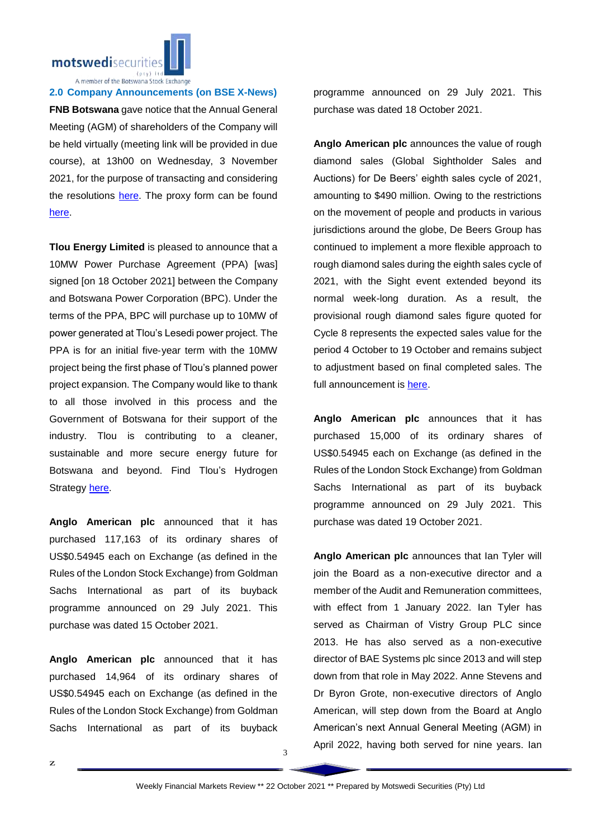

A member of the Botswana Stock Exchange

#### **2.0 Company Announcements (on BSE X-News)**

**FNB Botswana** gave notice that the Annual General Meeting (AGM) of shareholders of the Company will be held virtually (meeting link will be provided in due course), at 13h00 on Wednesday, 3 November 2021, for the purpose of transacting and considering the resolutions [here.](https://apis.bse.co.bw/storage/disclosures/10/2021/2446.pdf) The proxy form can be found [here.](https://apis.bse.co.bw/storage/disclosures/10/2021/2447.pdf)

**Tlou Energy Limited** is pleased to announce that a 10MW Power Purchase Agreement (PPA) [was] signed [on 18 October 2021] between the Company and Botswana Power Corporation (BPC). Under the terms of the PPA, BPC will purchase up to 10MW of power generated at Tlou's Lesedi power project. The PPA is for an initial five‐year term with the 10MW project being the first phase of Tlou's planned power project expansion. The Company would like to thank to all those involved in this process and the Government of Botswana for their support of the industry. Tlou is contributing to a cleaner, sustainable and more secure energy future for Botswana and beyond. Find Tlou's Hydrogen Strategy [here.](https://apis.bse.co.bw/storage/disclosures/10/2021/2450.pdf)

**Anglo American plc** announced that it has purchased 117,163 of its ordinary shares of US\$0.54945 each on Exchange (as defined in the Rules of the London Stock Exchange) from Goldman Sachs International as part of its buyback programme announced on 29 July 2021. This purchase was dated 15 October 2021.

**Anglo American plc** announced that it has purchased 14,964 of its ordinary shares of US\$0.54945 each on Exchange (as defined in the Rules of the London Stock Exchange) from Goldman Sachs International as part of its buyback

programme announced on 29 July 2021. This purchase was dated 18 October 2021.

**Anglo American plc** announces the value of rough diamond sales (Global Sightholder Sales and Auctions) for De Beers' eighth sales cycle of 2021, amounting to \$490 million. Owing to the restrictions on the movement of people and products in various jurisdictions around the globe, De Beers Group has continued to implement a more flexible approach to rough diamond sales during the eighth sales cycle of 2021, with the Sight event extended beyond its normal week-long duration. As a result, the provisional rough diamond sales figure quoted for Cycle 8 represents the expected sales value for the period 4 October to 19 October and remains subject to adjustment based on final completed sales. The full announcement is [here.](https://apis.bse.co.bw/storage/disclosures/10/2021/2448.pdf)

**Anglo American plc** announces that it has purchased 15,000 of its ordinary shares of US\$0.54945 each on Exchange (as defined in the Rules of the London Stock Exchange) from Goldman Sachs International as part of its buyback programme announced on 29 July 2021. This purchase was dated 19 October 2021.

**Anglo American plc** announces that Ian Tyler will join the Board as a non-executive director and a member of the Audit and Remuneration committees, with effect from 1 January 2022. Ian Tyler has served as Chairman of Vistry Group PLC since 2013. He has also served as a non-executive director of BAE Systems plc since 2013 and will step down from that role in May 2022. Anne Stevens and Dr Byron Grote, non-executive directors of Anglo American, will step down from the Board at Anglo American's next Annual General Meeting (AGM) in April 2022, having both served for nine years. Ian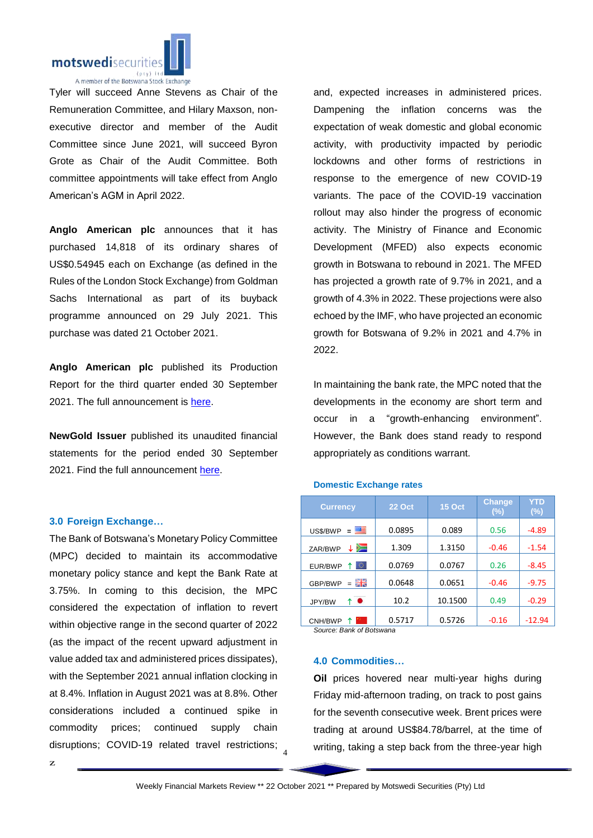

Tyler will succeed Anne Stevens as Chair of the Remuneration Committee, and Hilary Maxson, nonexecutive director and member of the Audit Committee since June 2021, will succeed Byron Grote as Chair of the Audit Committee. Both committee appointments will take effect from Anglo American's AGM in April 2022.

**Anglo American plc** announces that it has purchased 14,818 of its ordinary shares of US\$0.54945 each on Exchange (as defined in the Rules of the London Stock Exchange) from Goldman Sachs International as part of its buyback programme announced on 29 July 2021. This purchase was dated 21 October 2021.

**Anglo American plc** published its Production Report for the third quarter ended 30 September 2021. The full announcement is [here.](https://apis.bse.co.bw/storage/disclosures/10/2021/2457.pdf)

**NewGold Issuer** published its unaudited financial statements for the period ended 30 September 2021. Find the full announcement [here.](https://apis.bse.co.bw/storage/disclosures/10/2021/2455.pdf)

#### **3.0 Foreign Exchange…**

disruptions; COVID-19 related travel restrictions; 4 The Bank of Botswana's Monetary Policy Committee (MPC) decided to maintain its accommodative monetary policy stance and kept the Bank Rate at 3.75%. In coming to this decision, the MPC considered the expectation of inflation to revert within objective range in the second quarter of 2022 (as the impact of the recent upward adjustment in value added tax and administered prices dissipates), with the September 2021 annual inflation clocking in at 8.4%. Inflation in August 2021 was at 8.8%. Other considerations included a continued spike in commodity prices; continued supply chain

and, expected increases in administered prices. Dampening the inflation concerns was the expectation of weak domestic and global economic activity, with productivity impacted by periodic lockdowns and other forms of restrictions in response to the emergence of new COVID-19 variants. The pace of the COVID-19 vaccination rollout may also hinder the progress of economic activity. The Ministry of Finance and Economic Development (MFED) also expects economic growth in Botswana to rebound in 2021. The MFED has projected a growth rate of 9.7% in 2021, and a growth of 4.3% in 2022. These projections were also echoed by the IMF, who have projected an economic growth for Botswana of 9.2% in 2021 and 4.7% in 2022.

In maintaining the bank rate, the MPC noted that the developments in the economy are short term and occur in a "growth-enhancing environment". However, the Bank does stand ready to respond appropriately as conditions warrant.

#### **Domestic Exchange rates**

| <b>Currency</b>          | <b>22 Oct</b> | <b>15 Oct</b> | <b>Change</b><br>$(\%)$ | YTD<br>$(\%)$ |  |  |
|--------------------------|---------------|---------------|-------------------------|---------------|--|--|
| 四日<br>US\$/BWP<br>Ξ      | 0.0895        | 0.089         | 0.56                    | $-4.89$       |  |  |
| ≻⊐<br>ZAR/BWP            | 1.309         | 1.3150        | $-0.46$                 | $-1.54$       |  |  |
| ю<br>EUR/BWP             | 0.0769        | 0.0767        | 0.26                    | $-8.45$       |  |  |
| 開業<br>GBP/BWP<br>$=$     | 0.0648        | 0.0651        | $-0.46$                 | $-9.75$       |  |  |
| ↑●<br>JPY/BW             | 10.2          | 10.1500       | 0.49                    | $-0.29$       |  |  |
| CNH/BWP                  | 0.5717        | 0.5726        | $-0.16$                 | $-12.94$      |  |  |
| Source: Bank of Botswana |               |               |                         |               |  |  |

### **4.0 Commodities…**

**Oil** prices hovered near multi-year highs during Friday mid-afternoon trading, on track to post gains for the seventh consecutive week. Brent prices were trading at around US\$84.78/barrel, at the time of writing, taking a step back from the three-year high